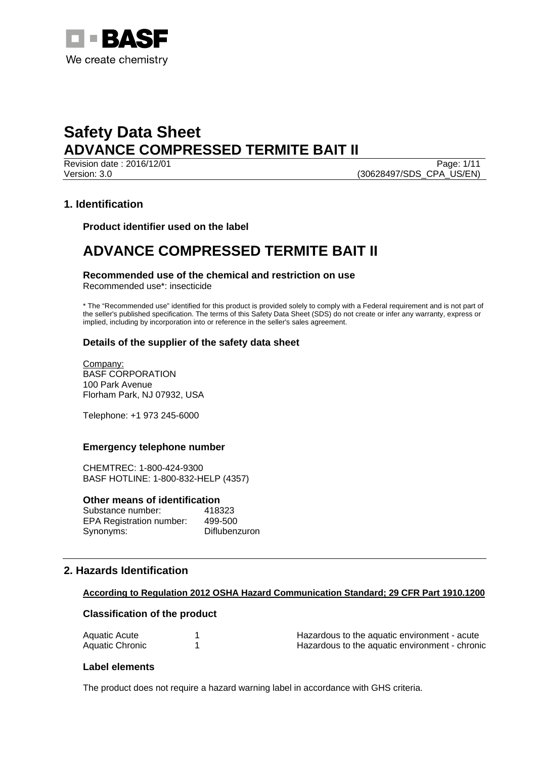

Revision date : 2016/12/01 Page: 1/11 Version: 3.0 (30628497/SDS\_CPA\_US/EN)

# **1. Identification**

**Product identifier used on the label** 

# **ADVANCE COMPRESSED TERMITE BAIT II**

## **Recommended use of the chemical and restriction on use**

Recommended use\*: insecticide

\* The "Recommended use" identified for this product is provided solely to comply with a Federal requirement and is not part of the seller's published specification. The terms of this Safety Data Sheet (SDS) do not create or infer any warranty, express or implied, including by incorporation into or reference in the seller's sales agreement.

## **Details of the supplier of the safety data sheet**

Company: BASF CORPORATION 100 Park Avenue Florham Park, NJ 07932, USA

Telephone: +1 973 245-6000

## **Emergency telephone number**

CHEMTREC: 1-800-424-9300 BASF HOTLINE: 1-800-832-HELP (4357)

### **Other means of identification**

| Substance number:               | 418323               |
|---------------------------------|----------------------|
| <b>EPA Registration number:</b> | 499-500              |
| Synonyms:                       | <b>Diflubenzuron</b> |

# **2. Hazards Identification**

### **According to Regulation 2012 OSHA Hazard Communication Standard; 29 CFR Part 1910.1200**

## **Classification of the product**

| Aquatic Acute   | Hazardous to the aquatic environment - acute   |  |
|-----------------|------------------------------------------------|--|
| Aquatic Chronic | Hazardous to the aquatic environment - chronic |  |

## **Label elements**

The product does not require a hazard warning label in accordance with GHS criteria.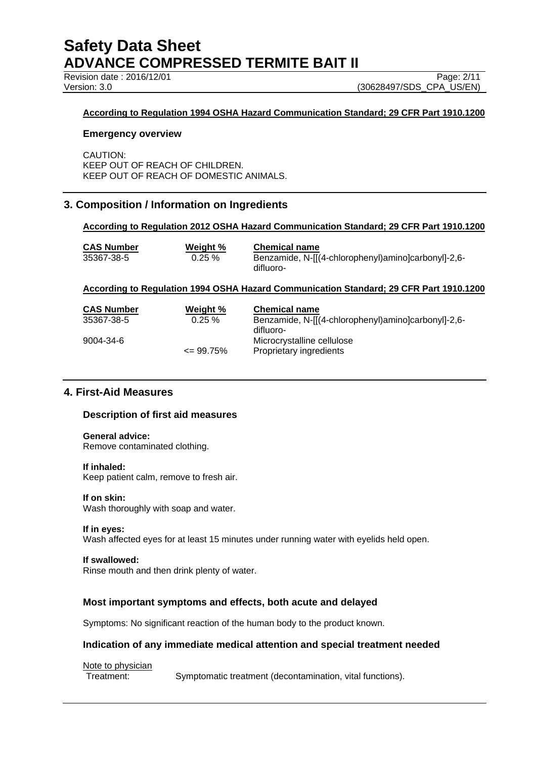Revision date : 2016/12/01 Page: 2/11

Version: 3.0 (30628497/SDS\_CPA\_US/EN)

## **According to Regulation 1994 OSHA Hazard Communication Standard; 29 CFR Part 1910.1200**

### **Emergency overview**

CAUTION: KEEP OUT OF REACH OF CHILDREN. KEEP OUT OF REACH OF DOMESTIC ANIMALS.

# **3. Composition / Information on Ingredients**

### **According to Regulation 2012 OSHA Hazard Communication Standard; 29 CFR Part 1910.1200**

| <b>CAS Number</b> | Weight %  | <b>Chemical name</b>                                |
|-------------------|-----------|-----------------------------------------------------|
| 35367-38-5        | $0.25 \%$ | Benzamide, N-[[(4-chlorophenyl)amino]carbonyl]-2,6- |
|                   |           | difluoro-                                           |

### **According to Regulation 1994 OSHA Hazard Communication Standard; 29 CFR Part 1910.1200**

| <b>CAS Number</b><br>35367-38-5 | Weight %<br>$0.25 \%$ | <b>Chemical name</b><br>Benzamide, N-[[(4-chlorophenyl)amino]carbonyl]-2,6-<br>difluoro- |
|---------------------------------|-----------------------|------------------------------------------------------------------------------------------|
| 9004-34-6                       | $\leq$ 99.75%         | Microcrystalline cellulose<br>Proprietary ingredients                                    |

# **4. First-Aid Measures**

## **Description of first aid measures**

# **General advice:**

Remove contaminated clothing.

#### **If inhaled:**

Keep patient calm, remove to fresh air.

### **If on skin:**

Wash thoroughly with soap and water.

### **If in eyes:**

Wash affected eyes for at least 15 minutes under running water with eyelids held open.

### **If swallowed:**

Rinse mouth and then drink plenty of water.

## **Most important symptoms and effects, both acute and delayed**

Symptoms: No significant reaction of the human body to the product known.

## **Indication of any immediate medical attention and special treatment needed**

Note to physician<br>Treatment: Symptomatic treatment (decontamination, vital functions).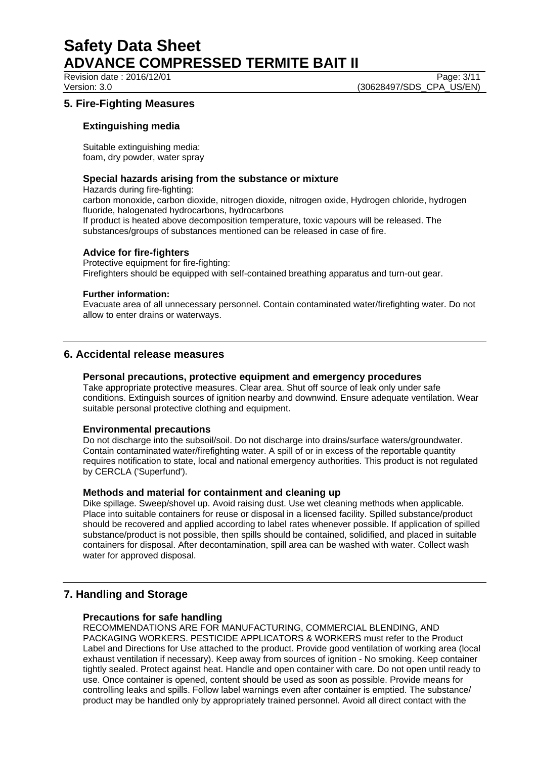Revision date : 2016/12/01 Page: 3/11

Version: 3.0 (30628497/SDS\_CPA\_US/EN)

# **5. Fire-Fighting Measures**

## **Extinguishing media**

Suitable extinguishing media: foam, dry powder, water spray

## **Special hazards arising from the substance or mixture**

Hazards during fire-fighting:

carbon monoxide, carbon dioxide, nitrogen dioxide, nitrogen oxide, Hydrogen chloride, hydrogen fluoride, halogenated hydrocarbons, hydrocarbons

If product is heated above decomposition temperature, toxic vapours will be released. The substances/groups of substances mentioned can be released in case of fire.

## **Advice for fire-fighters**

Protective equipment for fire-fighting: Firefighters should be equipped with self-contained breathing apparatus and turn-out gear.

### **Further information:**

Evacuate area of all unnecessary personnel. Contain contaminated water/firefighting water. Do not allow to enter drains or waterways.

## **6. Accidental release measures**

## **Personal precautions, protective equipment and emergency procedures**

Take appropriate protective measures. Clear area. Shut off source of leak only under safe conditions. Extinguish sources of ignition nearby and downwind. Ensure adequate ventilation. Wear suitable personal protective clothing and equipment.

## **Environmental precautions**

Do not discharge into the subsoil/soil. Do not discharge into drains/surface waters/groundwater. Contain contaminated water/firefighting water. A spill of or in excess of the reportable quantity requires notification to state, local and national emergency authorities. This product is not regulated by CERCLA ('Superfund').

## **Methods and material for containment and cleaning up**

Dike spillage. Sweep/shovel up. Avoid raising dust. Use wet cleaning methods when applicable. Place into suitable containers for reuse or disposal in a licensed facility. Spilled substance/product should be recovered and applied according to label rates whenever possible. If application of spilled substance/product is not possible, then spills should be contained, solidified, and placed in suitable containers for disposal. After decontamination, spill area can be washed with water. Collect wash water for approved disposal.

# **7. Handling and Storage**

## **Precautions for safe handling**

RECOMMENDATIONS ARE FOR MANUFACTURING, COMMERCIAL BLENDING, AND PACKAGING WORKERS. PESTICIDE APPLICATORS & WORKERS must refer to the Product Label and Directions for Use attached to the product. Provide good ventilation of working area (local exhaust ventilation if necessary). Keep away from sources of ignition - No smoking. Keep container tightly sealed. Protect against heat. Handle and open container with care. Do not open until ready to use. Once container is opened, content should be used as soon as possible. Provide means for controlling leaks and spills. Follow label warnings even after container is emptied. The substance/ product may be handled only by appropriately trained personnel. Avoid all direct contact with the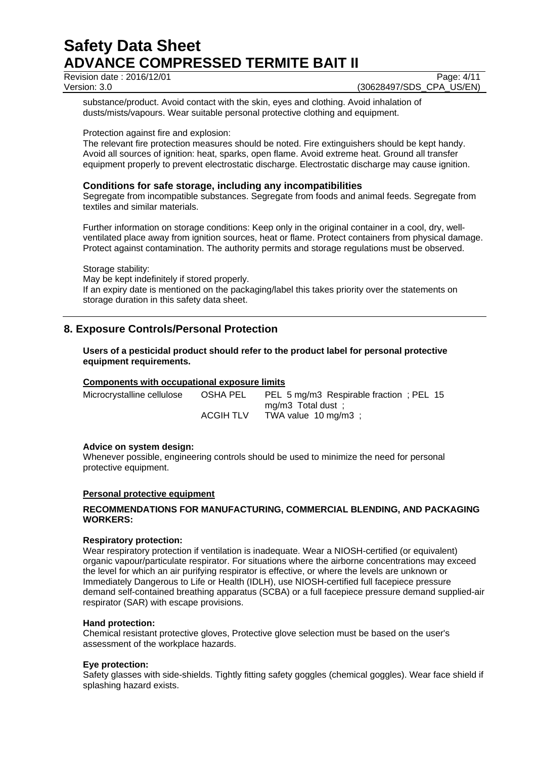Revision date : 2016/12/01 Page: 4/11

Version: 3.0 (30628497/SDS\_CPA\_US/EN)

substance/product. Avoid contact with the skin, eyes and clothing. Avoid inhalation of dusts/mists/vapours. Wear suitable personal protective clothing and equipment.

### Protection against fire and explosion:

The relevant fire protection measures should be noted. Fire extinguishers should be kept handy. Avoid all sources of ignition: heat, sparks, open flame. Avoid extreme heat. Ground all transfer equipment properly to prevent electrostatic discharge. Electrostatic discharge may cause ignition.

## **Conditions for safe storage, including any incompatibilities**

Segregate from incompatible substances. Segregate from foods and animal feeds. Segregate from textiles and similar materials.

Further information on storage conditions: Keep only in the original container in a cool, dry, wellventilated place away from ignition sources, heat or flame. Protect containers from physical damage. Protect against contamination. The authority permits and storage regulations must be observed.

Storage stability: May be kept indefinitely if stored properly. If an expiry date is mentioned on the packaging/label this takes priority over the statements on storage duration in this safety data sheet.

# **8. Exposure Controls/Personal Protection**

## **Users of a pesticidal product should refer to the product label for personal protective equipment requirements.**

## **Components with occupational exposure limits**

| Microcrystalline cellulose | OSHA PEL  | PEL 5 mg/m3 Respirable fraction; PEL 15 |
|----------------------------|-----------|-----------------------------------------|
|                            |           | $mg/m3$ Total dust ;                    |
|                            | ACGIH TLV | TWA value 10 mg/m3 :                    |

## **Advice on system design:**

Whenever possible, engineering controls should be used to minimize the need for personal protective equipment.

### **Personal protective equipment**

## **RECOMMENDATIONS FOR MANUFACTURING, COMMERCIAL BLENDING, AND PACKAGING WORKERS:**

### **Respiratory protection:**

Wear respiratory protection if ventilation is inadequate. Wear a NIOSH-certified (or equivalent) organic vapour/particulate respirator. For situations where the airborne concentrations may exceed the level for which an air purifying respirator is effective, or where the levels are unknown or Immediately Dangerous to Life or Health (IDLH), use NIOSH-certified full facepiece pressure demand self-contained breathing apparatus (SCBA) or a full facepiece pressure demand supplied-air respirator (SAR) with escape provisions.

### **Hand protection:**

Chemical resistant protective gloves, Protective glove selection must be based on the user's assessment of the workplace hazards.

### **Eye protection:**

Safety glasses with side-shields. Tightly fitting safety goggles (chemical goggles). Wear face shield if splashing hazard exists.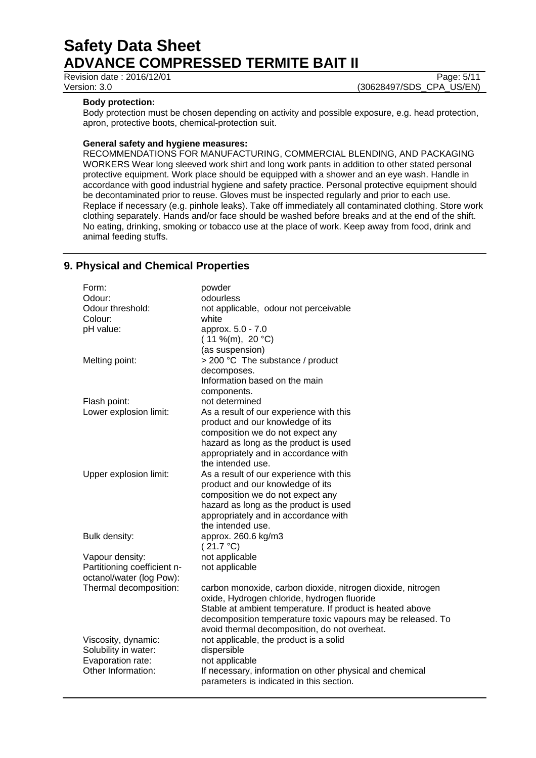Revision date : 2016/12/01 Page: 5/11

Version: 3.0 (30628497/SDS\_CPA\_US/EN)

## **Body protection:**

Body protection must be chosen depending on activity and possible exposure, e.g. head protection, apron, protective boots, chemical-protection suit.

## **General safety and hygiene measures:**

RECOMMENDATIONS FOR MANUFACTURING, COMMERCIAL BLENDING, AND PACKAGING WORKERS Wear long sleeved work shirt and long work pants in addition to other stated personal protective equipment. Work place should be equipped with a shower and an eye wash. Handle in accordance with good industrial hygiene and safety practice. Personal protective equipment should be decontaminated prior to reuse. Gloves must be inspected regularly and prior to each use. Replace if necessary (e.g. pinhole leaks). Take off immediately all contaminated clothing. Store work clothing separately. Hands and/or face should be washed before breaks and at the end of the shift. No eating, drinking, smoking or tobacco use at the place of work. Keep away from food, drink and animal feeding stuffs.

# **9. Physical and Chemical Properties**

| Odour:<br>odourless                                                                   |  |
|---------------------------------------------------------------------------------------|--|
|                                                                                       |  |
| Odour threshold:<br>not applicable, odour not perceivable                             |  |
| Colour:<br>white                                                                      |  |
| pH value:<br>approx. 5.0 - 7.0                                                        |  |
| $(11\% (m), 20 °C)$                                                                   |  |
| (as suspension)                                                                       |  |
| > 200 °C The substance / product<br>Melting point:                                    |  |
| decomposes.                                                                           |  |
| Information based on the main                                                         |  |
| components.                                                                           |  |
| Flash point:<br>not determined                                                        |  |
| Lower explosion limit:<br>As a result of our experience with this                     |  |
| product and our knowledge of its                                                      |  |
| composition we do not expect any                                                      |  |
| hazard as long as the product is used                                                 |  |
| appropriately and in accordance with                                                  |  |
| the intended use.                                                                     |  |
| Upper explosion limit:<br>As a result of our experience with this                     |  |
| product and our knowledge of its                                                      |  |
| composition we do not expect any                                                      |  |
| hazard as long as the product is used                                                 |  |
| appropriately and in accordance with                                                  |  |
| the intended use.                                                                     |  |
| Bulk density:<br>approx. 260.6 kg/m3                                                  |  |
| (21.7 °C)                                                                             |  |
| not applicable<br>Vapour density:                                                     |  |
| Partitioning coefficient n-<br>not applicable                                         |  |
| octanol/water (log Pow):                                                              |  |
| Thermal decomposition:<br>carbon monoxide, carbon dioxide, nitrogen dioxide, nitrogen |  |
| oxide, Hydrogen chloride, hydrogen fluoride                                           |  |
| Stable at ambient temperature. If product is heated above                             |  |
| decomposition temperature toxic vapours may be released. To                           |  |
| avoid thermal decomposition, do not overheat.                                         |  |
| Viscosity, dynamic:<br>not applicable, the product is a solid                         |  |
| Solubility in water:<br>dispersible                                                   |  |
| Evaporation rate:<br>not applicable                                                   |  |
| Other Information:<br>If necessary, information on other physical and chemical        |  |
| parameters is indicated in this section.                                              |  |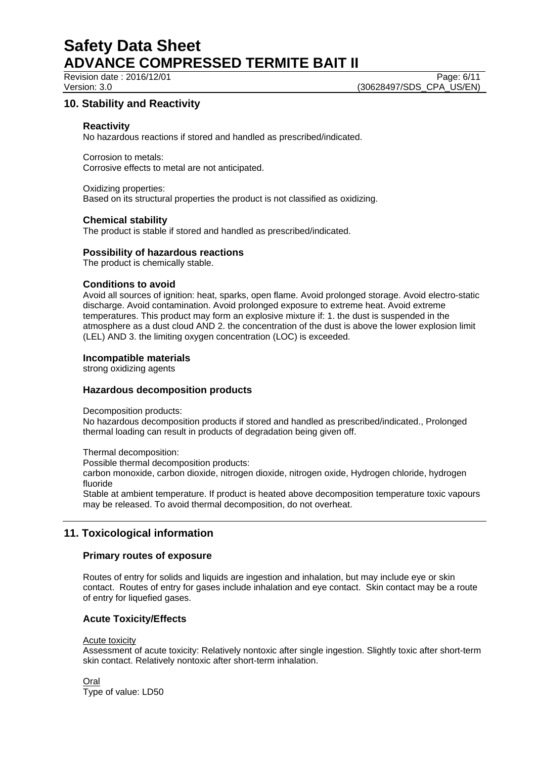Revision date : 2016/12/01 Page: 6/11

Version: 3.0 (30628497/SDS\_CPA\_US/EN)

# **10. Stability and Reactivity**

## **Reactivity**

No hazardous reactions if stored and handled as prescribed/indicated.

Corrosion to metals: Corrosive effects to metal are not anticipated.

Oxidizing properties: Based on its structural properties the product is not classified as oxidizing.

### **Chemical stability**

The product is stable if stored and handled as prescribed/indicated.

### **Possibility of hazardous reactions**

The product is chemically stable.

### **Conditions to avoid**

Avoid all sources of ignition: heat, sparks, open flame. Avoid prolonged storage. Avoid electro-static discharge. Avoid contamination. Avoid prolonged exposure to extreme heat. Avoid extreme temperatures. This product may form an explosive mixture if: 1. the dust is suspended in the atmosphere as a dust cloud AND 2. the concentration of the dust is above the lower explosion limit (LEL) AND 3. the limiting oxygen concentration (LOC) is exceeded.

## **Incompatible materials**

strong oxidizing agents

## **Hazardous decomposition products**

Decomposition products:

No hazardous decomposition products if stored and handled as prescribed/indicated., Prolonged thermal loading can result in products of degradation being given off.

Thermal decomposition:

Possible thermal decomposition products:

carbon monoxide, carbon dioxide, nitrogen dioxide, nitrogen oxide, Hydrogen chloride, hydrogen fluoride

Stable at ambient temperature. If product is heated above decomposition temperature toxic vapours may be released. To avoid thermal decomposition, do not overheat.

# **11. Toxicological information**

## **Primary routes of exposure**

Routes of entry for solids and liquids are ingestion and inhalation, but may include eye or skin contact. Routes of entry for gases include inhalation and eye contact. Skin contact may be a route of entry for liquefied gases.

## **Acute Toxicity/Effects**

### Acute toxicity

Assessment of acute toxicity: Relatively nontoxic after single ingestion. Slightly toxic after short-term skin contact. Relatively nontoxic after short-term inhalation.

Oral Type of value: LD50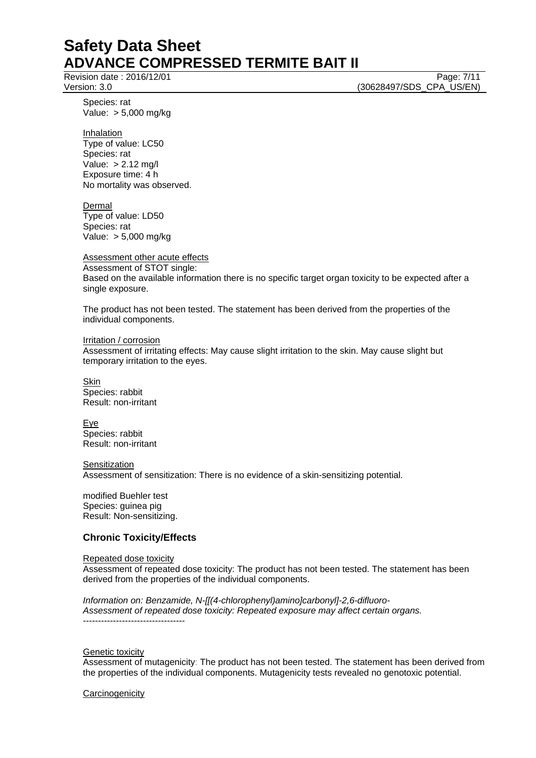Revision date : 2016/12/01 Page: 7/11

Version: 3.0 (30628497/SDS\_CPA\_US/EN)

Species: rat Value: > 5,000 mg/kg

Inhalation Type of value: LC50 Species: rat Value: > 2.12 mg/l Exposure time: 4 h No mortality was observed.

Dermal Type of value: LD50 Species: rat Value: > 5,000 mg/kg

Assessment other acute effects Assessment of STOT single:

Based on the available information there is no specific target organ toxicity to be expected after a single exposure.

The product has not been tested. The statement has been derived from the properties of the individual components.

Irritation / corrosion Assessment of irritating effects: May cause slight irritation to the skin. May cause slight but temporary irritation to the eyes.

**Skin** Species: rabbit Result: non-irritant

Eye Species: rabbit Result: non-irritant

**Sensitization** Assessment of sensitization: There is no evidence of a skin-sensitizing potential.

modified Buehler test Species: guinea pig Result: Non-sensitizing.

## **Chronic Toxicity/Effects**

Repeated dose toxicity Assessment of repeated dose toxicity: The product has not been tested. The statement has been derived from the properties of the individual components.

*Information on: Benzamide, N-[[(4-chlorophenyl)amino]carbonyl]-2,6-difluoro-Assessment of repeated dose toxicity: Repeated exposure may affect certain organs.*  ----------------------------------

Genetic toxicity

Assessment of mutagenicity: The product has not been tested. The statement has been derived from the properties of the individual components. Mutagenicity tests revealed no genotoxic potential.

**Carcinogenicity**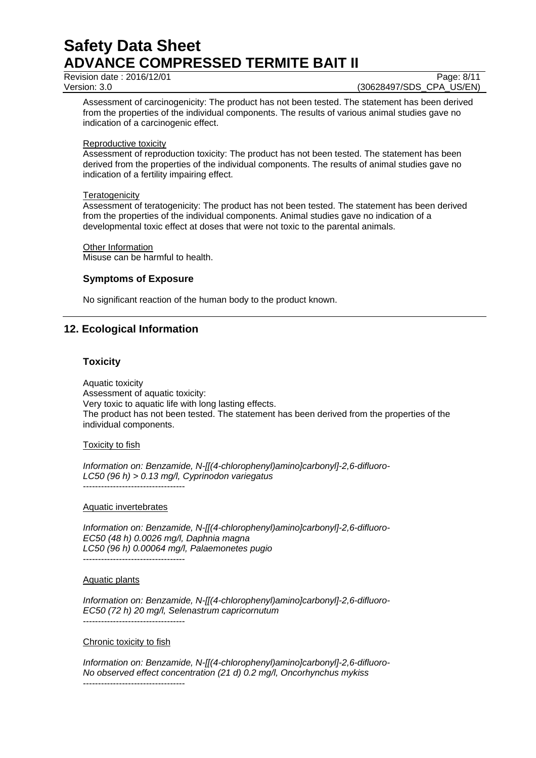Revision date : 2016/12/01 Page: 8/11

Version: 3.0 (30628497/SDS\_CPA\_US/EN)

Assessment of carcinogenicity: The product has not been tested. The statement has been derived from the properties of the individual components. The results of various animal studies gave no indication of a carcinogenic effect.

### Reproductive toxicity

Assessment of reproduction toxicity: The product has not been tested. The statement has been derived from the properties of the individual components. The results of animal studies gave no indication of a fertility impairing effect.

## **Teratogenicity**

Assessment of teratogenicity: The product has not been tested. The statement has been derived from the properties of the individual components. Animal studies gave no indication of a developmental toxic effect at doses that were not toxic to the parental animals.

Other Information

Misuse can be harmful to health.

## **Symptoms of Exposure**

No significant reaction of the human body to the product known.

# **12. Ecological Information**

## **Toxicity**

Aquatic toxicity Assessment of aquatic toxicity: Very toxic to aquatic life with long lasting effects. The product has not been tested. The statement has been derived from the properties of the individual components.

## Toxicity to fish

*Information on: Benzamide, N-[[(4-chlorophenyl)amino]carbonyl]-2,6-difluoro-LC50 (96 h) > 0.13 mg/l, Cyprinodon variegatus*  ----------------------------------

### Aquatic invertebrates

*Information on: Benzamide, N-[[(4-chlorophenyl)amino]carbonyl]-2,6-difluoro-EC50 (48 h) 0.0026 mg/l, Daphnia magna LC50 (96 h) 0.00064 mg/l, Palaemonetes pugio*  ----------------------------------

### Aquatic plants

*Information on: Benzamide, N-[[(4-chlorophenyl)amino]carbonyl]-2,6-difluoro-EC50 (72 h) 20 mg/l, Selenastrum capricornutum*  ----------------------------------

### Chronic toxicity to fish

*Information on: Benzamide, N-[[(4-chlorophenyl)amino]carbonyl]-2,6-difluoro-No observed effect concentration (21 d) 0.2 mg/l, Oncorhynchus mykiss*  ----------------------------------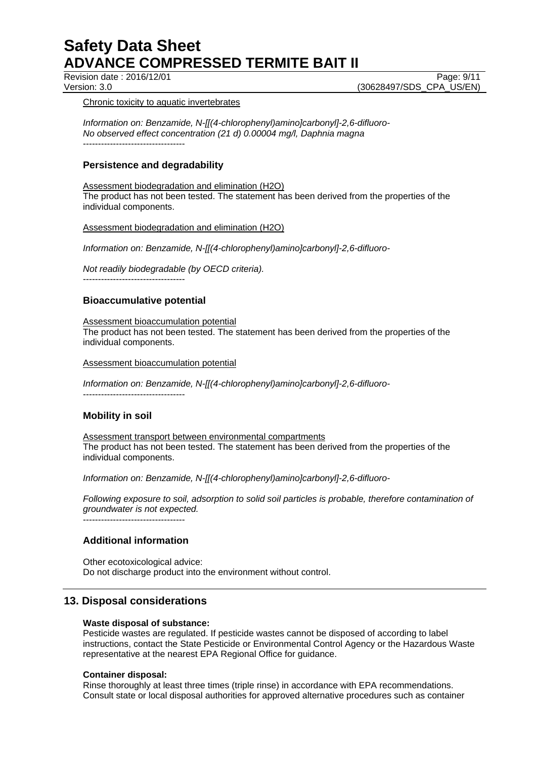Revision date : 2016/12/01 Page: 9/11

Version: 3.0 (30628497/SDS\_CPA\_US/EN)

### Chronic toxicity to aquatic invertebrates

*Information on: Benzamide, N-[[(4-chlorophenyl)amino]carbonyl]-2,6-difluoro-No observed effect concentration (21 d) 0.00004 mg/l, Daphnia magna*  ----------------------------------

## **Persistence and degradability**

### Assessment biodegradation and elimination (H2O)

The product has not been tested. The statement has been derived from the properties of the individual components.

## Assessment biodegradation and elimination (H2O)

*Information on: Benzamide, N-[[(4-chlorophenyl)amino]carbonyl]-2,6-difluoro-*

*Not readily biodegradable (by OECD criteria).* 

## **Bioaccumulative potential**

----------------------------------

Assessment bioaccumulation potential The product has not been tested. The statement has been derived from the properties of the individual components.

Assessment bioaccumulation potential

*Information on: Benzamide, N-[[(4-chlorophenyl)amino]carbonyl]-2,6-difluoro-*  ----------------------------------

# **Mobility in soil**

Assessment transport between environmental compartments The product has not been tested. The statement has been derived from the properties of the individual components.

*Information on: Benzamide, N-[[(4-chlorophenyl)amino]carbonyl]-2,6-difluoro-*

*Following exposure to soil, adsorption to solid soil particles is probable, therefore contamination of groundwater is not expected.*

----------------------------------

# **Additional information**

Other ecotoxicological advice: Do not discharge product into the environment without control.

# **13. Disposal considerations**

## **Waste disposal of substance:**

Pesticide wastes are regulated. If pesticide wastes cannot be disposed of according to label instructions, contact the State Pesticide or Environmental Control Agency or the Hazardous Waste representative at the nearest EPA Regional Office for guidance.

### **Container disposal:**

Rinse thoroughly at least three times (triple rinse) in accordance with EPA recommendations. Consult state or local disposal authorities for approved alternative procedures such as container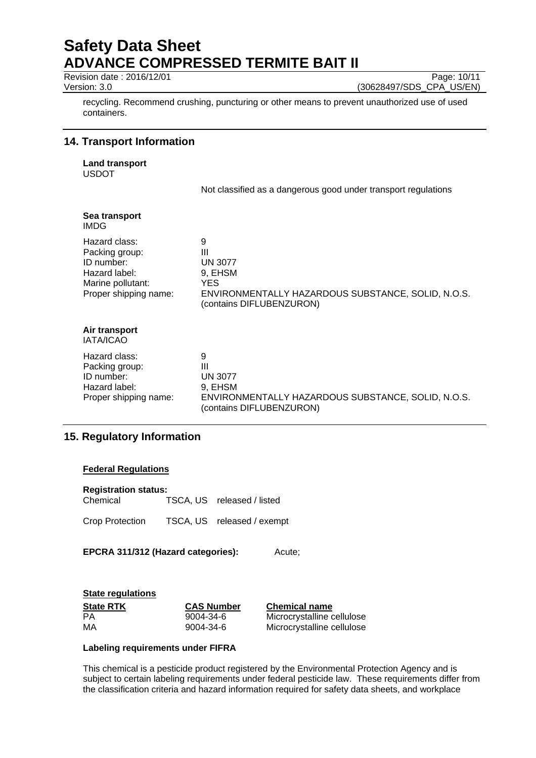Revision date : 2016/12/01 Page: 10/11

Version: 3.0 (30628497/SDS\_CPA\_US/EN)

recycling. Recommend crushing, puncturing or other means to prevent unauthorized use of used containers.

# **14. Transport Information**

**Land transport**  USDOT

Not classified as a dangerous good under transport regulations

| Sea transport<br>IMDG                                                                                        |                                                                                                                                     |
|--------------------------------------------------------------------------------------------------------------|-------------------------------------------------------------------------------------------------------------------------------------|
| Hazard class:<br>Packing group:<br>ID number:<br>Hazard label:<br>Marine pollutant:<br>Proper shipping name: | 9<br>Ш<br><b>UN 3077</b><br>9, EHSM<br><b>YES</b><br>ENVIRONMENTALLY HAZARDOUS SUBSTANCE, SOLID, N.O.S.<br>(contains DIFLUBENZURON) |
| Air transport<br><b>IATA/ICAO</b>                                                                            |                                                                                                                                     |
| Hazard class:<br>Packing group:<br>ID number:<br>Hazard label:<br>Proper shipping name:                      | 9<br>Ш<br><b>UN 3077</b><br>9, EHSM<br>ENVIRONMENTALLY HAZARDOUS SUBSTANCE, SOLID, N.O.S.<br>(contains DIFLUBENZURON)               |

# **15. Regulatory Information**

## **Federal Regulations**

| <b>Registration status:</b><br>Chemical | TSCA, US released / listed |
|-----------------------------------------|----------------------------|
| Crop Protection                         | TSCA, US released / exempt |

**EPCRA 311/312 (Hazard categories):** Acute;

## **State regulations**

| <b>State RTK</b> | <b>CAS Number</b> | <b>Chemical name</b>       |
|------------------|-------------------|----------------------------|
| PA               | 9004-34-6         | Microcrystalline cellulose |
| MA               | 9004-34-6         | Microcrystalline cellulose |

## **Labeling requirements under FIFRA**

This chemical is a pesticide product registered by the Environmental Protection Agency and is subject to certain labeling requirements under federal pesticide law. These requirements differ from the classification criteria and hazard information required for safety data sheets, and workplace